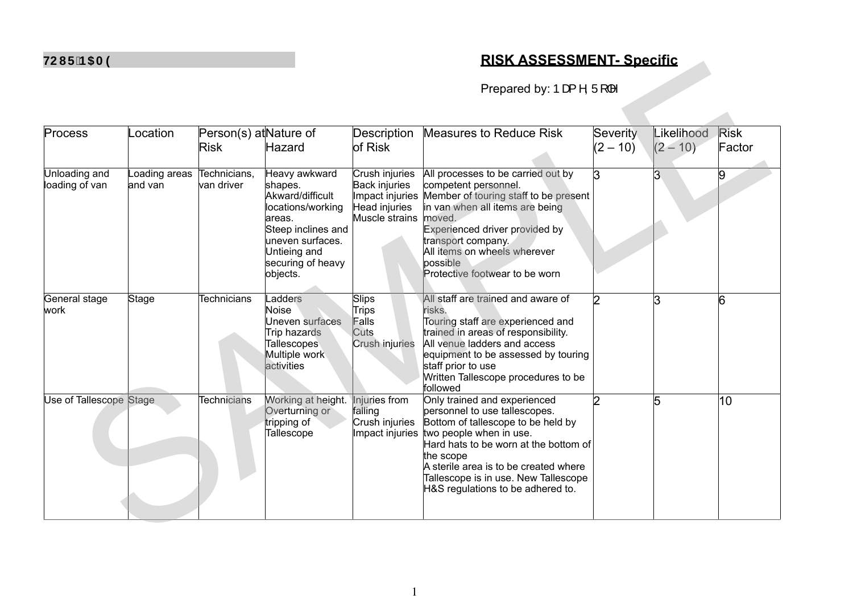## **7281 The Present Section 12 And The Present Section 12 And The Present Section 12 And The Present Specific**

| <b>INTERNATION</b>              |                          |                                       |                                                                                                                                                                        |                                                                                       | <u> KIƏN AƏƏEƏƏIVIEN I - ƏDECIIIC</u>                                                                                                                                                                                                                                                                      |                        |                          |                       |
|---------------------------------|--------------------------|---------------------------------------|------------------------------------------------------------------------------------------------------------------------------------------------------------------------|---------------------------------------------------------------------------------------|------------------------------------------------------------------------------------------------------------------------------------------------------------------------------------------------------------------------------------------------------------------------------------------------------------|------------------------|--------------------------|-----------------------|
|                                 |                          |                                       |                                                                                                                                                                        |                                                                                       | Prepared by: $\triangleright$ $\alpha$ ^, $\ddot{\cup}$   ^                                                                                                                                                                                                                                                |                        |                          |                       |
| Process                         | .ocation                 | Person(s) at Nature of<br><b>Risk</b> | Hazard                                                                                                                                                                 | <b>Description</b><br>of Risk                                                         | <b>Measures to Reduce Risk</b>                                                                                                                                                                                                                                                                             | Severity<br>$(2 - 10)$ | Likelihood<br>$(2 - 10)$ | <b>Risk</b><br>Factor |
| Unloading and<br>loading of van | Loading areas<br>and van | Technicians,<br>van driver            | Heavy awkward<br>shapes.<br>Akward/difficult<br>locations/working<br>areas.<br>Steep inclines and<br>uneven surfaces.<br>Untieing and<br>securing of heavy<br>objects. | Crush injuries<br>Back injuries<br>Impact injuries<br>Head injuries<br>Muscle strains | All processes to be carried out by<br>competent personnel.<br>Member of touring staff to be present<br>in van when all items are being<br>moved.<br>Experienced driver provided by<br>transport company.<br>All items on wheels wherever<br>possible<br>Protective footwear to be worn                     | l3                     | 3                        | 9                     |
| General stage<br>work           | Stage                    | <b>Technicians</b>                    | Ladders<br>Noise<br>Uneven surfaces<br>Trip hazards<br><b>Tallescopes</b><br>Multiple work<br>activities                                                               | Slips<br><b>Trips</b><br>Falls<br>Cuts<br>Crush injuries                              | All staff are trained and aware of<br>risks.<br>Touring staff are experienced and<br>trained in areas of responsibility.<br>All venue ladders and access<br>equipment to be assessed by touring<br>staff prior to use<br>Written Tallescope procedures to be<br>followed                                   | 2                      | 3                        | 6                     |
| Use of Tallescope Stage         |                          | <b>Technicians</b>                    | Working at height.<br>Overturning or<br>tripping of<br><b>Tallescope</b>                                                                                               | Injuries from<br>falling<br>Crush injuries<br>Impact injuries                         | Only trained and experienced<br>personnel to use tallescopes.<br>Bottom of tallescope to be held by<br>two people when in use.<br>Hard hats to be worn at the bottom of<br>the scope<br>A sterile area is to be created where<br>Tallescope is in use. New Tallescope<br>H&S regulations to be adhered to. | 2                      | 5                        | 10                    |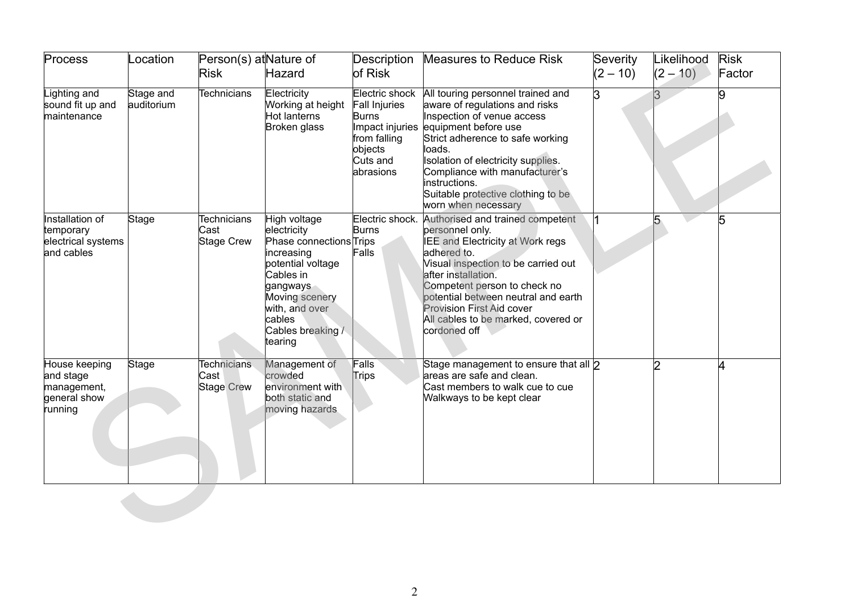| Process                                                              | Location                | Person(s) at Nature of<br><b>Risk</b>           | Hazard                                                                                                                                                                                           | Description<br>of Risk                                                                                          | <b>Measures to Reduce Risk</b>                                                                                                                                                                                                                                                                                                         | Severity<br>$(2 - 10)$ | Likelihood<br>$(2 - 10)$ | <b>Risk</b><br>Factor |
|----------------------------------------------------------------------|-------------------------|-------------------------------------------------|--------------------------------------------------------------------------------------------------------------------------------------------------------------------------------------------------|-----------------------------------------------------------------------------------------------------------------|----------------------------------------------------------------------------------------------------------------------------------------------------------------------------------------------------------------------------------------------------------------------------------------------------------------------------------------|------------------------|--------------------------|-----------------------|
| Lighting and<br>sound fit up and<br>maintenance                      | Stage and<br>auditorium | <b>Technicians</b>                              | Electricity<br>Working at height<br>Hot lanterns<br>Broken glass                                                                                                                                 | Electric shock<br>Fall Injuries<br>Burns<br>Impact injuries<br>from falling<br>objects<br>Cuts and<br>abrasions | All touring personnel trained and<br>aware of regulations and risks<br>Inspection of venue access<br>equipment before use<br>Strict adherence to safe working<br>loads.<br>Isolation of electricity supplies.<br>Compliance with manufacturer's<br>instructions.<br>Suitable protective clothing to be<br>worn when necessary          | l3                     | 3                        | 9                     |
| Installation of<br>temporary<br>electrical systems<br>and cables     | Stage                   | <b>Technicians</b><br>Cast<br>Stage Crew        | High voltage<br>electricity<br>Phase connections Trips<br>increasing<br>potential voltage<br>Cables in<br>gangways<br>Moving scenery<br>with, and over<br>cables<br>Cables breaking /<br>tearing | Electric shock.<br>Burns<br>Falls                                                                               | Authorised and trained competent<br>personnel only.<br>IEE and Electricity at Work regs<br>adhered to.<br>Visual inspection to be carried out<br>after installation.<br>Competent person to check no<br>potential between neutral and earth<br><b>Provision First Aid cover</b><br>All cables to be marked, covered or<br>cordoned off |                        | 5                        | 5                     |
| House keeping<br>and stage<br>management,<br>general show<br>running | Stage                   | <b>Technicians</b><br>Cast<br><b>Stage Crew</b> | Management of<br>crowded<br>environment with<br>both static and<br>moving hazards                                                                                                                | Falls<br>Trips                                                                                                  | Stage management to ensure that all 2<br>areas are safe and clean.<br>Cast members to walk cue to cue<br>Walkways to be kept clear                                                                                                                                                                                                     |                        | 2                        | 4                     |
|                                                                      |                         |                                                 |                                                                                                                                                                                                  |                                                                                                                 |                                                                                                                                                                                                                                                                                                                                        |                        |                          |                       |